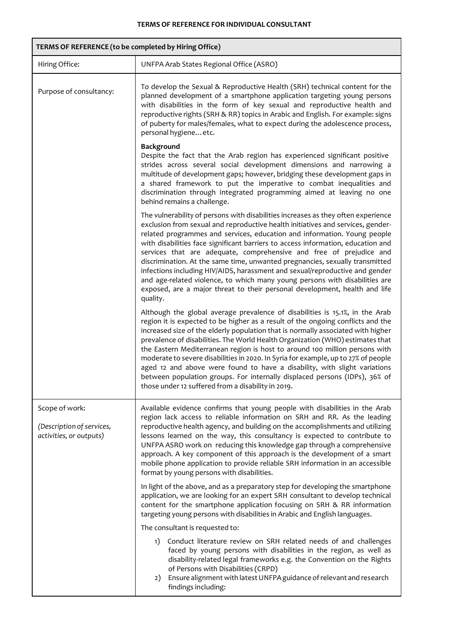7

| TERMS OF REFERENCE (to be completed by Hiring Office)                  |                                                                                                                                                                                                                                                                                                                                                                                                                                                                                                                                                                                                                                                                                                                                                      |  |  |
|------------------------------------------------------------------------|------------------------------------------------------------------------------------------------------------------------------------------------------------------------------------------------------------------------------------------------------------------------------------------------------------------------------------------------------------------------------------------------------------------------------------------------------------------------------------------------------------------------------------------------------------------------------------------------------------------------------------------------------------------------------------------------------------------------------------------------------|--|--|
| Hiring Office:                                                         | UNFPA Arab States Regional Office (ASRO)                                                                                                                                                                                                                                                                                                                                                                                                                                                                                                                                                                                                                                                                                                             |  |  |
| Purpose of consultancy:                                                | To develop the Sexual & Reproductive Health (SRH) technical content for the<br>planned development of a smartphone application targeting young persons<br>with disabilities in the form of key sexual and reproductive health and<br>reproductive rights (SRH & RR) topics in Arabic and English. For example: signs<br>of puberty for males/females, what to expect during the adolescence process,<br>personal hygiene etc.                                                                                                                                                                                                                                                                                                                        |  |  |
|                                                                        | Background<br>Despite the fact that the Arab region has experienced significant positive<br>strides across several social development dimensions and narrowing a<br>multitude of development gaps; however, bridging these development gaps in<br>a shared framework to put the imperative to combat inequalities and<br>discrimination through integrated programming aimed at leaving no one<br>behind remains a challenge.                                                                                                                                                                                                                                                                                                                        |  |  |
|                                                                        | The vulnerability of persons with disabilities increases as they often experience<br>exclusion from sexual and reproductive health initiatives and services, gender-<br>related programmes and services, education and information. Young people<br>with disabilities face significant barriers to access information, education and<br>services that are adequate, comprehensive and free of prejudice and<br>discrimination. At the same time, unwanted pregnancies, sexually transmitted<br>infections including HIV/AIDS, harassment and sexual/reproductive and gender<br>and age-related violence, to which many young persons with disabilities are<br>exposed, are a major threat to their personal development, health and life<br>quality. |  |  |
|                                                                        | Although the global average prevalence of disabilities is 15.1%, in the Arab<br>region it is expected to be higher as a result of the ongoing conflicts and the<br>increased size of the elderly population that is normally associated with higher<br>prevalence of disabilities. The World Health Organization (WHO) estimates that<br>the Eastern Mediterranean region is host to around 100 million persons with<br>moderate to severe disabilities in 2020. In Syria for example, up to 27% of people<br>aged 12 and above were found to have a disability, with slight variations<br>between population groups. For internally displaced persons (IDPs), 36% of<br>those under 12 suffered from a disability in 2019.                          |  |  |
| Scope of work:<br>(Description of services,<br>activities, or outputs) | Available evidence confirms that young people with disabilities in the Arab<br>region lack access to reliable information on SRH and RR. As the leading<br>reproductive health agency, and building on the accomplishments and utilizing<br>lessons learned on the way, this consultancy is expected to contribute to<br>UNFPA ASRO work on reducing this knowledge gap through a comprehensive<br>approach. A key component of this approach is the development of a smart<br>mobile phone application to provide reliable SRH information in an accessible<br>format by young persons with disabilities.                                                                                                                                           |  |  |
|                                                                        | In light of the above, and as a preparatory step for developing the smartphone<br>application, we are looking for an expert SRH consultant to develop technical<br>content for the smartphone application focusing on SRH & RR information<br>targeting young persons with disabilities in Arabic and English languages.                                                                                                                                                                                                                                                                                                                                                                                                                             |  |  |
|                                                                        | The consultant is requested to:                                                                                                                                                                                                                                                                                                                                                                                                                                                                                                                                                                                                                                                                                                                      |  |  |
|                                                                        | Conduct literature review on SRH related needs of and challenges<br>1)<br>faced by young persons with disabilities in the region, as well as<br>disability-related legal frameworks e.g. the Convention on the Rights<br>of Persons with Disabilities (CRPD)<br>Ensure alignment with latest UNFPA guidance of relevant and research<br>2)<br>findings including:                                                                                                                                                                                                                                                                                                                                                                                    |  |  |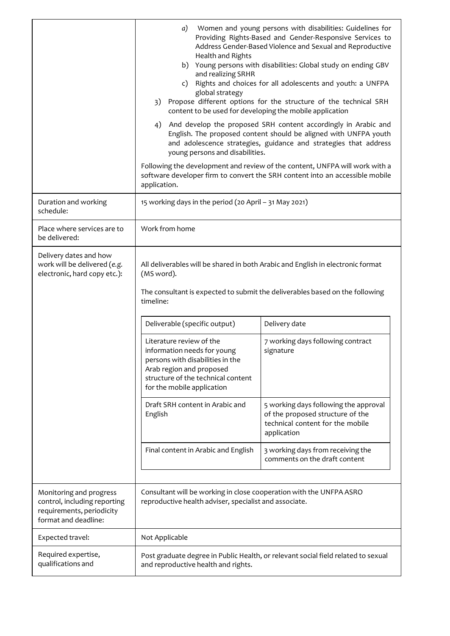|                                                                                                              | Women and young persons with disabilities: Guidelines for<br>a)<br>Providing Rights-Based and Gender-Responsive Services to<br>Address Gender-Based Violence and Sexual and Reproductive<br>Health and Rights<br>b) Young persons with disabilities: Global study on ending GBV<br>and realizing SRHR<br>c) Rights and choices for all adolescents and youth: a UNFPA<br>global strategy<br>3) Propose different options for the structure of the technical SRH<br>content to be used for developing the mobile application<br>4)<br>And develop the proposed SRH content accordingly in Arabic and<br>English. The proposed content should be aligned with UNFPA youth<br>and adolescence strategies, guidance and strategies that address<br>young persons and disabilities.<br>Following the development and review of the content, UNFPA will work with a<br>software developer firm to convert the SRH content into an accessible mobile<br>application. |                                                                                                                                                                                                                                                                                                                                                                                                                                          |  |
|--------------------------------------------------------------------------------------------------------------|---------------------------------------------------------------------------------------------------------------------------------------------------------------------------------------------------------------------------------------------------------------------------------------------------------------------------------------------------------------------------------------------------------------------------------------------------------------------------------------------------------------------------------------------------------------------------------------------------------------------------------------------------------------------------------------------------------------------------------------------------------------------------------------------------------------------------------------------------------------------------------------------------------------------------------------------------------------|------------------------------------------------------------------------------------------------------------------------------------------------------------------------------------------------------------------------------------------------------------------------------------------------------------------------------------------------------------------------------------------------------------------------------------------|--|
| Duration and working<br>schedule:                                                                            | 15 working days in the period (20 April - 31 May 2021)                                                                                                                                                                                                                                                                                                                                                                                                                                                                                                                                                                                                                                                                                                                                                                                                                                                                                                        |                                                                                                                                                                                                                                                                                                                                                                                                                                          |  |
| Place where services are to<br>be delivered:                                                                 | Work from home                                                                                                                                                                                                                                                                                                                                                                                                                                                                                                                                                                                                                                                                                                                                                                                                                                                                                                                                                |                                                                                                                                                                                                                                                                                                                                                                                                                                          |  |
| Delivery dates and how<br>work will be delivered (e.g.<br>electronic, hard copy etc.):                       | (MS word).<br>timeline:<br>Deliverable (specific output)<br>Literature review of the<br>information needs for young<br>persons with disabilities in the<br>Arab region and proposed<br>structure of the technical content<br>for the mobile application<br>Draft SRH content in Arabic and<br>English<br>Final content in Arabic and English                                                                                                                                                                                                                                                                                                                                                                                                                                                                                                                                                                                                                  | All deliverables will be shared in both Arabic and English in electronic format<br>The consultant is expected to submit the deliverables based on the following<br>Delivery date<br>7 working days following contract<br>signature<br>5 working days following the approval<br>of the proposed structure of the<br>technical content for the mobile<br>application<br>3 working days from receiving the<br>comments on the draft content |  |
| Monitoring and progress<br>control, including reporting<br>requirements, periodicity<br>format and deadline: | Consultant will be working in close cooperation with the UNFPA ASRO<br>reproductive health adviser, specialist and associate.                                                                                                                                                                                                                                                                                                                                                                                                                                                                                                                                                                                                                                                                                                                                                                                                                                 |                                                                                                                                                                                                                                                                                                                                                                                                                                          |  |
| Expected travel:                                                                                             | Not Applicable                                                                                                                                                                                                                                                                                                                                                                                                                                                                                                                                                                                                                                                                                                                                                                                                                                                                                                                                                |                                                                                                                                                                                                                                                                                                                                                                                                                                          |  |
| Required expertise,<br>qualifications and                                                                    | Post graduate degree in Public Health, or relevant social field related to sexual<br>and reproductive health and rights.                                                                                                                                                                                                                                                                                                                                                                                                                                                                                                                                                                                                                                                                                                                                                                                                                                      |                                                                                                                                                                                                                                                                                                                                                                                                                                          |  |